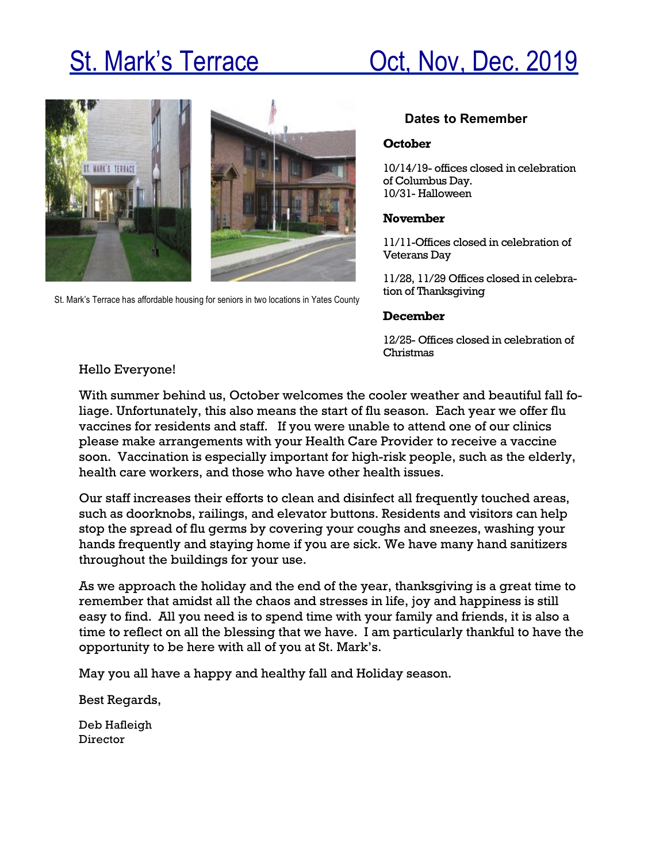# St. Mark's Terrace **Oct, Nov, Dec. 2019**



St. Mark's Terrace has affordable housing for seniors in two locations in Yates County

### **Dates to Remember**

### **October**

10/14/19- offices closed in celebration of Columbus Day. 10/31- Halloween

### **November**

11/11-Offices closed in celebration of Veterans Day

11/28, 11/29 Offices closed in celebration of Thanksgiving

### **December**

12/25- Offices closed in celebration of Christmas

### Hello Everyone!

With summer behind us, October welcomes the cooler weather and beautiful fall foliage. Unfortunately, this also means the start of flu season. Each year we offer flu vaccines for residents and staff. If you were unable to attend one of our clinics please make arrangements with your Health Care Provider to receive a vaccine soon. Vaccination is especially important for high-risk people, such as the elderly, health care workers, and those who have other health issues.

Our staff increases their efforts to clean and disinfect all frequently touched areas, such as doorknobs, railings, and elevator buttons. Residents and visitors can help stop the spread of flu germs by covering your coughs and sneezes, washing your hands frequently and staying home if you are sick. We have many hand sanitizers throughout the buildings for your use.

As we approach the holiday and the end of the year, thanksgiving is a great time to remember that amidst all the chaos and stresses in life, joy and happiness is still easy to find. All you need is to spend time with your family and friends, it is also a time to reflect on all the blessing that we have. I am particularly thankful to have the opportunity to be here with all of you at St. Mark's.

May you all have a happy and healthy fall and Holiday season.

Best Regards,

Deb Hafleigh Director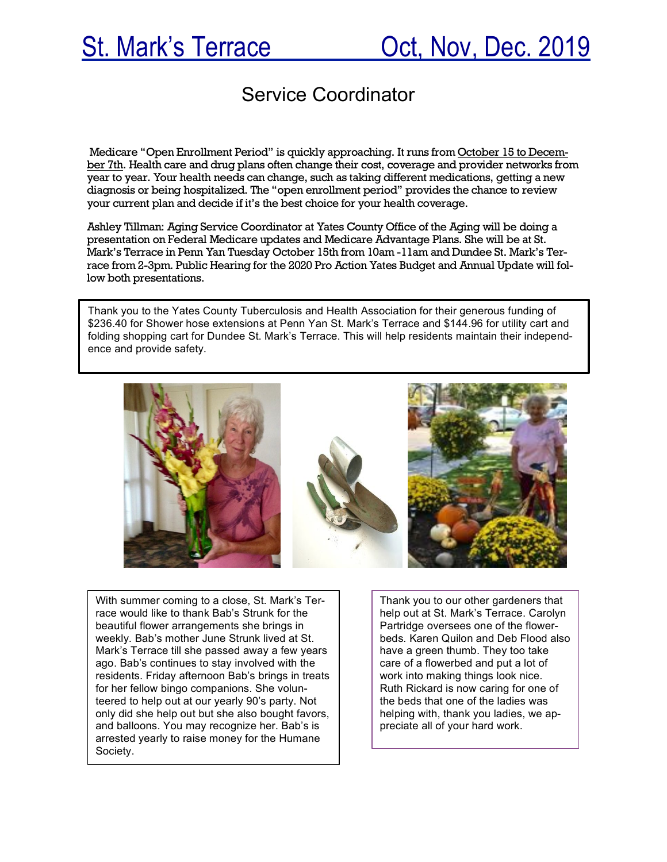## Service Coordinator

Medicare "Open Enrollment Period" is quickly approaching. It runs from October 15 to December 7th. Health care and drug plans often change their cost, coverage and provider networks from year to year. Your health needs can change, such as taking different medications, getting a new diagnosis or being hospitalized. The "open enrollment period" provides the chance to review your current plan and decide if it's the best choice for your health coverage.

Ashley Tillman: Aging Service Coordinator at Yates County Office of the Aging will be doing a presentation on Federal Medicare updates and Medicare Advantage Plans. She will be at St. Mark's Terrace in Penn Yan Tuesday October 15th from 10am -11am and Dundee St. Mark's Terrace from 2-3pm. Public Hearing for the 2020 Pro Action Yates Budget and Annual Update will follow both presentations.

Thank you to the Yates County Tuberculosis and Health Association for their generous funding of \$236.40 for Shower hose extensions at Penn Yan St. Mark's Terrace and \$144.96 for utility cart and folding shopping cart for Dundee St. Mark's Terrace. This will help residents maintain their independence and provide safety.



With summer coming to a close, St. Mark's Terrace would like to thank Bab's Strunk for the beautiful flower arrangements she brings in weekly. Bab's mother June Strunk lived at St. Mark's Terrace till she passed away a few years ago. Bab's continues to stay involved with the residents. Friday afternoon Bab's brings in treats for her fellow bingo companions. She volunteered to help out at our yearly 90's party. Not only did she help out but she also bought favors, and balloons. You may recognize her. Bab's is arrested yearly to raise money for the Humane Society.

Thank you to our other gardeners that help out at St. Mark's Terrace. Carolyn Partridge oversees one of the flowerbeds. Karen Quilon and Deb Flood also have a green thumb. They too take care of a flowerbed and put a lot of work into making things look nice. Ruth Rickard is now caring for one of the beds that one of the ladies was helping with, thank you ladies, we appreciate all of your hard work.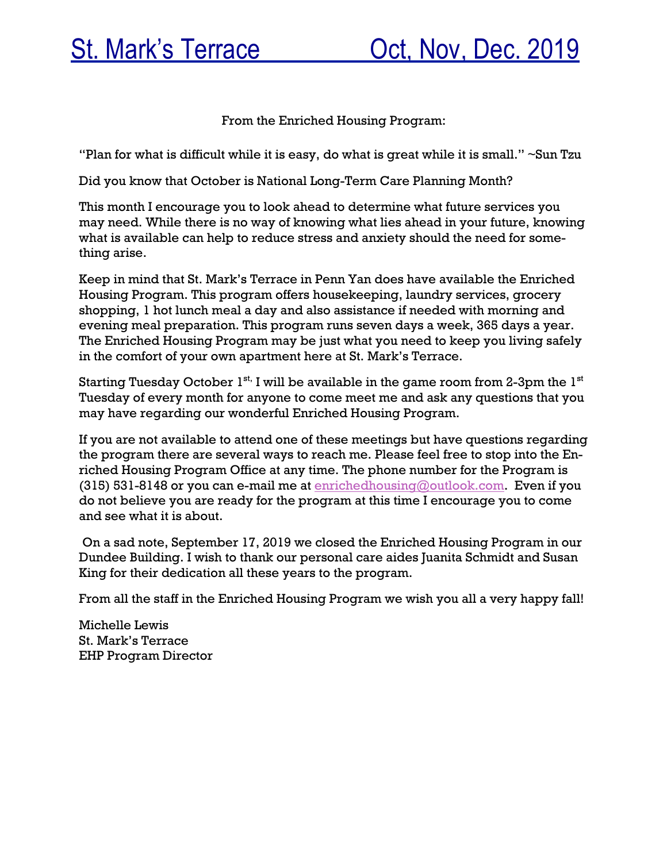From the Enriched Housing Program:

"Plan for what is difficult while it is easy, do what is great while it is small."  $\sim$ Sun Tzu

Did you know that October is National Long-Term Care Planning Month?

This month I encourage you to look ahead to determine what future services you may need. While there is no way of knowing what lies ahead in your future, knowing what is available can help to reduce stress and anxiety should the need for something arise.

Keep in mind that St. Mark's Terrace in Penn Yan does have available the Enriched Housing Program. This program offers housekeeping, laundry services, grocery shopping, 1 hot lunch meal a day and also assistance if needed with morning and evening meal preparation. This program runs seven days a week, 365 days a year. The Enriched Housing Program may be just what you need to keep you living safely in the comfort of your own apartment here at St. Mark's Terrace.

Starting Tuesday October  $1^{st}$ . I will be available in the game room from 2-3pm the  $1^{st}$ Tuesday of every month for anyone to come meet me and ask any questions that you may have regarding our wonderful Enriched Housing Program.

If you are not available to attend one of these meetings but have questions regarding the program there are several ways to reach me. Please feel free to stop into the Enriched Housing Program Office at any time. The phone number for the Program is (315) 531-8148 or you can e-mail me at enrichedhousing@outlook.com. Even if you do not believe you are ready for the program at this time I encourage you to come and see what it is about.

On a sad note, September 17, 2019 we closed the Enriched Housing Program in our Dundee Building. I wish to thank our personal care aides Juanita Schmidt and Susan King for their dedication all these years to the program.

From all the staff in the Enriched Housing Program we wish you all a very happy fall!

Michelle Lewis St. Mark's Terrace EHP Program Director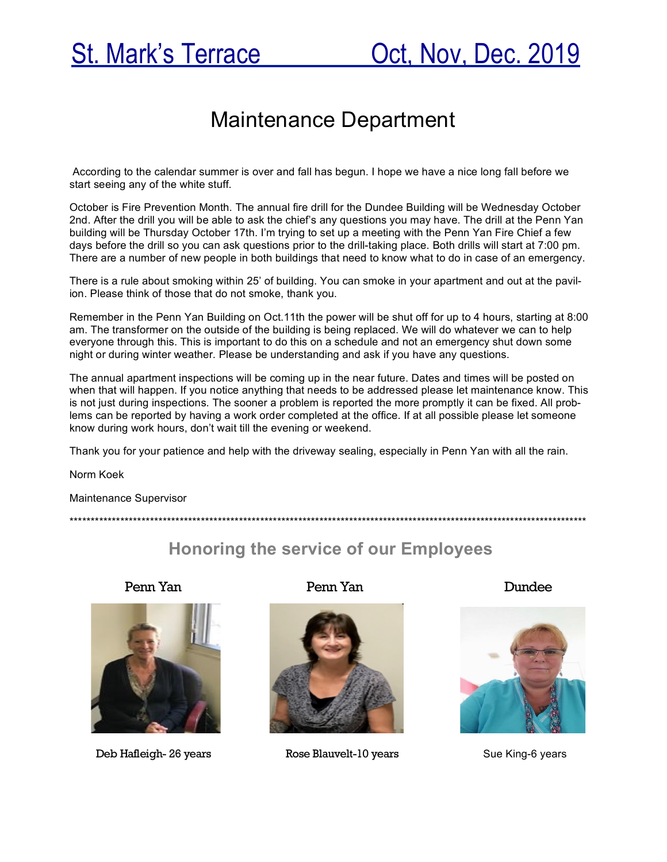# Maintenance Department

According to the calendar summer is over and fall has begun. I hope we have a nice long fall before we start seeing any of the white stuff.

October is Fire Prevention Month. The annual fire drill for the Dundee Building will be Wednesday October 2nd. After the drill you will be able to ask the chief's any questions you may have. The drill at the Penn Yan building will be Thursday October 17th. I'm trying to set up a meeting with the Penn Yan Fire Chief a few days before the drill so you can ask questions prior to the drill-taking place. Both drills will start at 7:00 pm. There are a number of new people in both buildings that need to know what to do in case of an emergency.

There is a rule about smoking within 25' of building. You can smoke in your apartment and out at the pavilion. Please think of those that do not smoke, thank you.

Remember in the Penn Yan Building on Oct.11th the power will be shut off for up to 4 hours, starting at 8:00 am. The transformer on the outside of the building is being replaced. We will do whatever we can to help everyone through this. This is important to do this on a schedule and not an emergency shut down some night or during winter weather. Please be understanding and ask if you have any questions.

The annual apartment inspections will be coming up in the near future. Dates and times will be posted on when that will happen. If you notice anything that needs to be addressed please let maintenance know. This is not just during inspections. The sooner a problem is reported the more promptly it can be fixed. All problems can be reported by having a work order completed at the office. If at all possible please let someone know during work hours, don't wait till the evening or weekend.

Thank you for your patience and help with the driveway sealing, especially in Penn Yan with all the rain.

\*\*\*\*\*\*\*\*\*\*\*\*\*\*\*\*\*\*\*\*\*\*\*\*\*\*\*\*\*\*\*\*\*\*\*\*\*\*\*\*\*\*\*\*\*\*\*\*\*\*\*\*\*\*\*\*\*\*\*\*\*\*\*\*\*\*\*\*\*\*\*\*\*\*\*\*\*\*\*\*\*\*\*\*\*\*\*\*\*\*\*\*\*\*\*\*\*\*\*\*\*\*\*\*\*\*\*\*\*\*\*\*\*\*\*\*\*\*\*\*\*\*

Norm Koek

Maintenance Supervisor

## **Honoring the service of our Employees**



Deb Hafleigh- 26 years **Rose Blauvelt-10 years** Sue King-6 years

Penn Yan Penn Yan Dundee



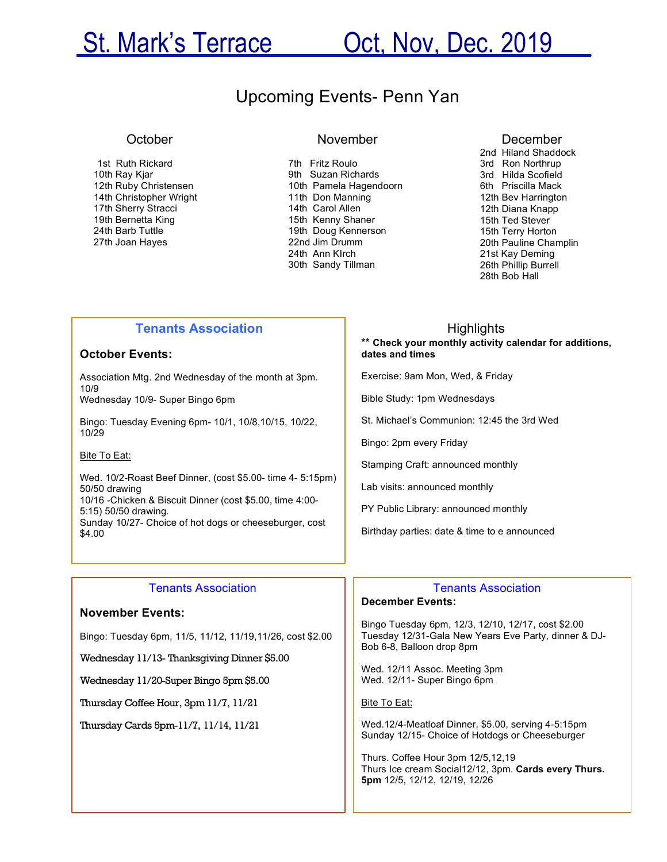# St. Mark's Terrace Cot, Nov, Dec. 2019

## Upcoming Events- Penn Yan

#### **October**

1st Ruth Rickard 10th Ray Kjar 12th Ruby Christensen 14th Christopher Wright 17th Sherry Stracci 19th Bernetta King 24th Barb Tuttle 27th Joan Hayes

### November

7th Fritz Roulo 9th Suzan Richards 10th Pamela Hagendoorn 11th Don Manning 14th Carol Allen 15th Kenny Shaner 19th Doug Kennerson 22nd Jim Drumm 24th Ann KIrch 30th Sandy Tillman

#### December

2nd Hiland Shaddock 3rd Ron Northrup 3rd Hilda Scofield 6th Priscilla Mack 12th Bev Harrington 12th Diana Knapp 15th Ted Stever 15th Terry Horton 20th Pauline Champlin 21st Kay Deming 26th Phillip Burrell 28th Bob Hall

### **Tenants Association**

#### **October Events:**

Association Mtg. 2nd Wednesday of the month at 3pm.  $10/9$ 

Wednesday 10/9- Super Bingo 6pm

Bingo: Tuesday Evening 6pm- 10/1, 10/8,10/15, 10/22, 10/29

#### Bite To Eat:

Wed. 10/2-Roast Beef Dinner, (cost \$5.00- time 4- 5:15pm) 50/50 drawing 10/16 -Chicken & Biscuit Dinner (cost \$5.00, time 4:00- 5:15) 50/50 drawing. Sunday 10/27- Choice of hot dogs or cheeseburger, cost \$4.00

#### Tenants Association

#### **November Events:**

Bingo: Tuesday 6pm, 11/5, 11/12, 11/19,11/26, cost \$2.00

Wednesday 11/13- Thanksgiving Dinner \$5.00

Wednesday 11/20-Super Bingo 5pm \$5.00

Thursday Coffee Hour, 3pm 11/7, 11/21

Thursday Cards 5pm-11/7, 11/14, 11/21

 Highlights **\*\* Check your monthly activity calendar for additions, dates and times** 

Exercise: 9am Mon, Wed, & Friday

Bible Study: 1pm Wednesdays

St. Michael's Communion: 12:45 the 3rd Wed

Bingo: 2pm every Friday

Stamping Craft: announced monthly

Lab visits: announced monthly

PY Public Library: announced monthly

Birthday parties: date & time to e announced

#### Tenants Association **December Events:**

Bingo Tuesday 6pm, 12/3, 12/10, 12/17, cost \$2.00 Tuesday 12/31-Gala New Years Eve Party, dinner & DJ-Bob 6-8, Balloon drop 8pm

Wed. 12/11 Assoc. Meeting 3pm Wed. 12/11- Super Bingo 6pm

Bite To Eat:

Wed.12/4-Meatloaf Dinner, \$5.00, serving 4-5:15pm Sunday 12/15- Choice of Hotdogs or Cheeseburger

Thurs. Coffee Hour 3pm 12/5,12,19 Thurs Ice cream Social12/12, 3pm. **Cards every Thurs. 5pm** 12/5, 12/12, 12/19, 12/26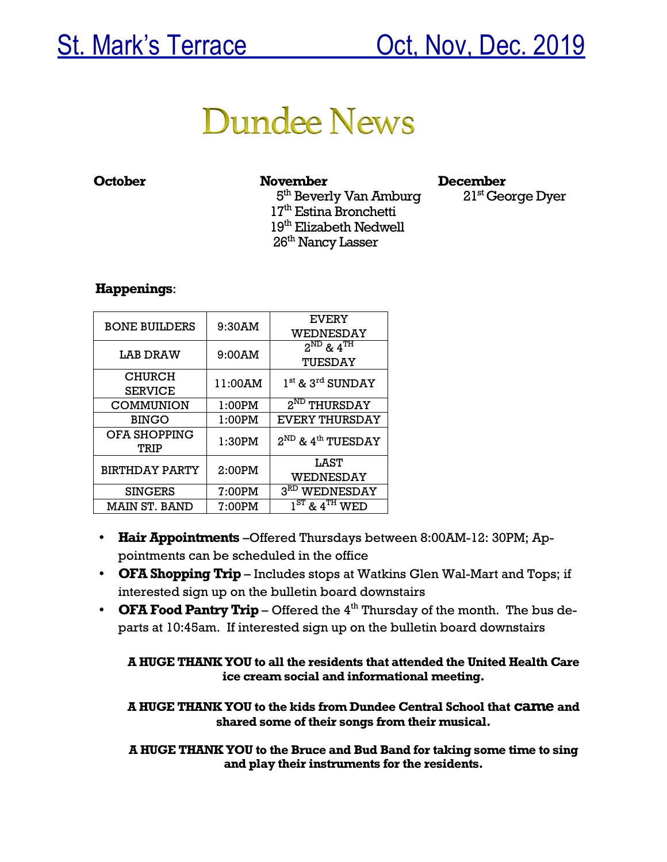# **Dundee News**

### **October November December**

 $5<sup>th</sup>$  Beverly Van Amburg  $21<sup>st</sup>$  George Dyer  $17<sup>th</sup>$  Estina Bronchetti 19<sup>th</sup> Elizabeth Nedwell 26th Nancy Lasser

### **Happenings**:

| <b>BONE BUILDERS</b>  | 9:30AM  | <b>EVERY</b>                       |
|-----------------------|---------|------------------------------------|
|                       |         | WEDNESDAY                          |
| LAB DRAW              | 9:00AM  | $2^{ND}$ & $4^{TH}$                |
|                       |         | TUESDAY                            |
| <b>CHURCH</b>         |         | $1st$ & $3rd$ SUNDAY               |
| <b>SERVICE</b>        | 11:00AM |                                    |
| <b>COMMUNION</b>      | 1:00PM  | 2 <sup>ND</sup> THURSDAY           |
| <b>BINGO</b>          | 1:00PM  | <b>EVERY THURSDAY</b>              |
| OFA SHOPPING          | 1:30PM  | $2^{ND}$ & 4 <sup>th</sup> TUESDAY |
| TRIP                  |         |                                    |
| <b>BIRTHDAY PARTY</b> | 2:00PM  | LAST                               |
|                       |         | WEDNESDAY                          |
| <b>SINGERS</b>        | 7:00PM  | 3 <sup>RD</sup> WEDNESDAY          |
| MAIN ST. BAND         | 7:00PM  | $1ST$ & $4TH$ WED                  |

- **Hair Appointments** –Offered Thursdays between 8:00AM-12: 30PM; Appointments can be scheduled in the office
- **OFA Shopping Trip**  Includes stops at Watkins Glen Wal-Mart and Tops; if interested sign up on the bulletin board downstairs
- **OFA Food Pantry Trip** Offered the 4<sup>th</sup> Thursday of the month. The bus departs at 10:45am. If interested sign up on the bulletin board downstairs

**A HUGE THANK YOU to all the residents that attended the United Health Care ice cream social and informational meeting.**

**A HUGE THANK YOU to the kids from Dundee Central School that came and shared some of their songs from their musical.**

**A HUGE THANK YOU to the Bruce and Bud Band for taking some time to sing and play their instruments for the residents.**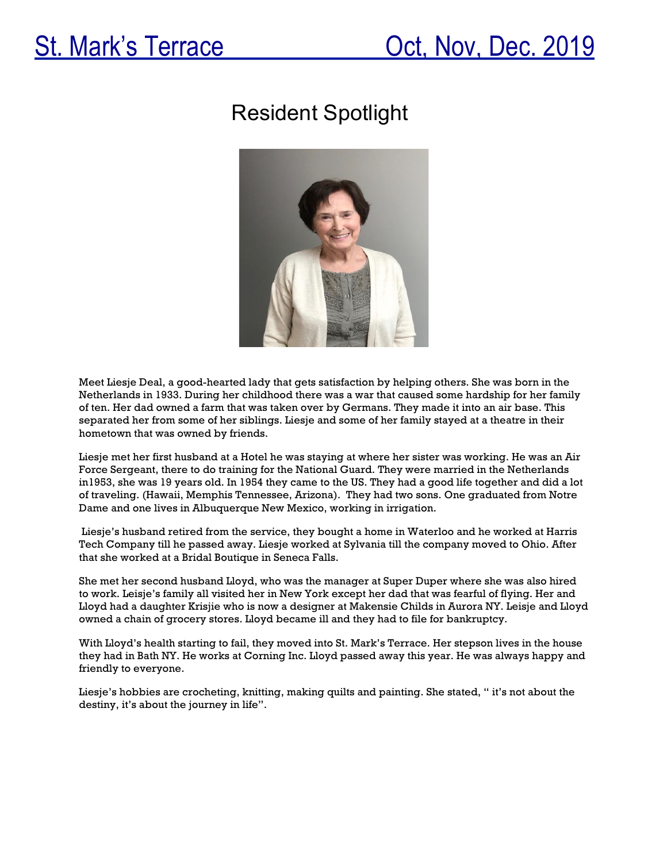# Resident Spotlight



Meet Liesje Deal, a good-hearted lady that gets satisfaction by helping others. She was born in the Netherlands in 1933. During her childhood there was a war that caused some hardship for her family of ten. Her dad owned a farm that was taken over by Germans. They made it into an air base. This separated her from some of her siblings. Liesje and some of her family stayed at a theatre in their hometown that was owned by friends.

Liesje met her first husband at a Hotel he was staying at where her sister was working. He was an Air Force Sergeant, there to do training for the National Guard. They were married in the Netherlands in1953, she was 19 years old. In 1954 they came to the US. They had a good life together and did a lot of traveling. (Hawaii, Memphis Tennessee, Arizona). They had two sons. One graduated from Notre Dame and one lives in Albuquerque New Mexico, working in irrigation.

Liesje's husband retired from the service, they bought a home in Waterloo and he worked at Harris Tech Company till he passed away. Liesje worked at Sylvania till the company moved to Ohio. After that she worked at a Bridal Boutique in Seneca Falls.

She met her second husband Lloyd, who was the manager at Super Duper where she was also hired to work. Leisje's family all visited her in New York except her dad that was fearful of flying. Her and Lloyd had a daughter Krisjie who is now a designer at Makensie Childs in Aurora NY. Leisje and Lloyd owned a chain of grocery stores. Lloyd became ill and they had to file for bankruptcy.

With Lloyd's health starting to fail, they moved into St. Mark's Terrace. Her stepson lives in the house they had in Bath NY. He works at Corning Inc. Lloyd passed away this year. He was always happy and friendly to everyone.

Liesje's hobbies are crocheting, knitting, making quilts and painting. She stated, " it's not about the destiny, it's about the journey in life".